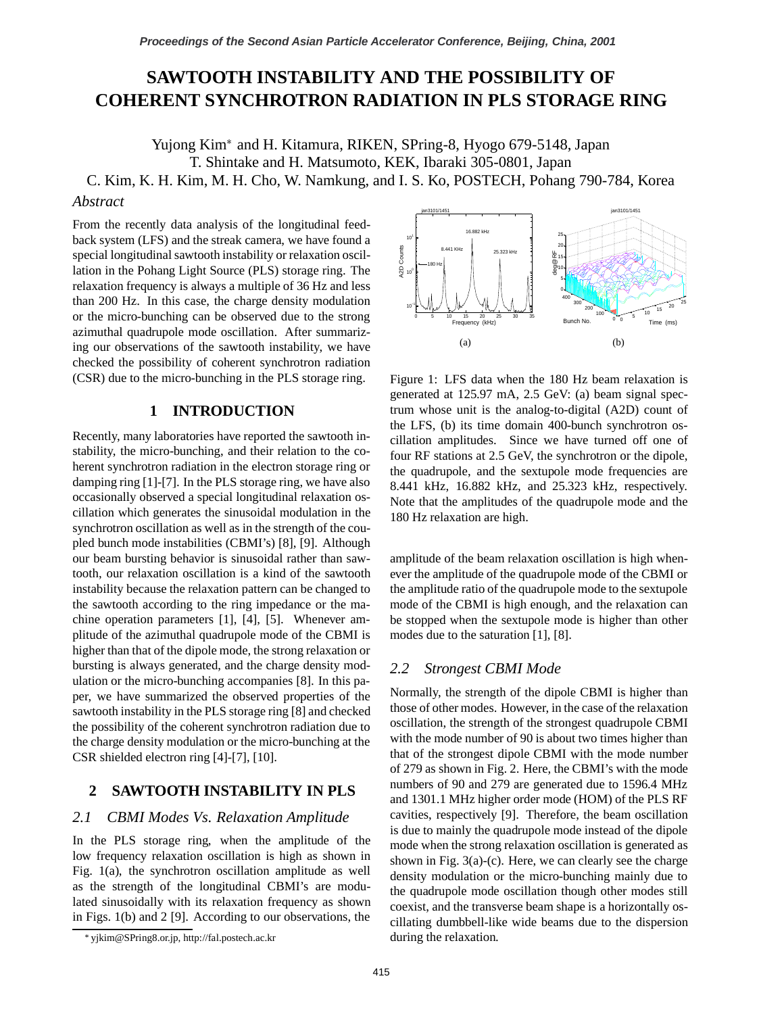# **SAWTOOTH INSTABILITY AND THE POSSIBILITY OF COHERENT SYNCHROTRON RADIATION IN PLS STORAGE RING**

Yujong Kim<sup>\*</sup> and H. Kitamura, RIKEN, SPring-8, Hyogo 679-5148, Japan T. Shintake and H. Matsumoto, KEK, Ibaraki 305-0801, Japan

C. Kim, K. H. Kim, M. H. Cho, W. Namkung, and I. S. Ko, POSTECH, Pohang 790-784, Korea

### *Abstract*

From the recently data analysis of the longitudinal feedback system (LFS) and the streak camera, we have found a special longitudinal sawtooth instability or relaxation oscillation in the Pohang Light Source (PLS) storage ring. The relaxation frequency is always a multiple of 36 Hz and less than 200 Hz. In this case, the charge density modulation or the micro-bunching can be observed due to the strong azimuthal quadrupole mode oscillation. After summarizing our observations of the sawtooth instability, we have checked the possibility of coherent synchrotron radiation (CSR) due to the micro-bunching in the PLS storage ring.

# **1 INTRODUCTION**

Recently, many laboratories have reported the sawtooth instability, the micro-bunching, and their relation to the coherent synchrotron radiation in the electron storage ring or damping ring [1]-[7]. In the PLS storage ring, we have also occasionally observed a special longitudinal relaxation oscillation which generates the sinusoidal modulation in the synchrotron oscillation as well as in the strength of the coupled bunch mode instabilities (CBMI's) [8], [9]. Although our beam bursting behavior is sinusoidal rather than sawtooth, our relaxation oscillation is a kind of the sawtooth instability because the relaxation pattern can be changed to the sawtooth according to the ring impedance or the machine operation parameters [1], [4], [5]. Whenever amplitude of the azimuthal quadrupole mode of the CBMI is higher than that of the dipole mode, the strong relaxation or bursting is always generated, and the charge density modulation or the micro-bunching accompanies [8]. In this paper, we have summarized the observed properties of the sawtooth instability in the PLS storage ring [8] and checked the possibility of the coherent synchrotron radiation due to the charge density modulation or the micro-bunching at the CSR shielded electron ring [4]-[7], [10].

# **2 SAWTOOTH INSTABILITY IN PLS**

#### *2.1 CBMI Modes Vs. Relaxation Amplitude*

In the PLS storage ring, when the amplitude of the low frequency relaxation oscillation is high as shown in Fig. 1(a), the synchrotron oscillation amplitude as well as the strength of the longitudinal CBMI's are modulated sinusoidally with its relaxation frequency as shown in Figs. 1(b) and 2 [9]. According to our observations, the



Figure 1: LFS data when the 180 Hz beam relaxation is generated at 125.97 mA, 2.5 GeV: (a) beam signal spectrum whose unit is the analog-to-digital (A2D) count of the LFS, (b) its time domain 400-bunch synchrotron oscillation amplitudes. Since we have turned off one of four RF stations at 2.5 GeV, the synchrotron or the dipole, the quadrupole, and the sextupole mode frequencies are 8.441 kHz, 16.882 kHz, and 25.323 kHz, respectively. Note that the amplitudes of the quadrupole mode and the 180 Hz relaxation are high.

amplitude of the beam relaxation oscillation is high whenever the amplitude of the quadrupole mode of the CBMI or the amplitude ratio of the quadrupole mode to the sextupole mode of the CBMI is high enough, and the relaxation can be stopped when the sextupole mode is higher than other modes due to the saturation [1], [8].

# *2.2 Strongest CBMI Mode*

Normally, the strength of the dipole CBMI is higher than those of other modes. However, in the case of the relaxation oscillation, the strength of the strongest quadrupole CBMI with the mode number of 90 is about two times higher than that of the strongest dipole CBMI with the mode number of 279 as shown in Fig. 2. Here, the CBMI's with the mode numbers of 90 and 279 are generated due to 1596.4 MHz and 1301.1 MHz higher order mode (HOM) of the PLS RF cavities, respectively [9]. Therefore, the beam oscillation is due to mainly the quadrupole mode instead of the dipole mode when the strong relaxation oscillation is generated as shown in Fig.  $3(a)-(c)$ . Here, we can clearly see the charge density modulation or the micro-bunching mainly due to the quadrupole mode oscillation though other modes still coexist, and the transverse beam shape is a horizontally oscillating dumbbell-like wide beams due to the dispersion during the relaxation.

yjkim@SPring8.or.jp, http://fal.postech.ac.kr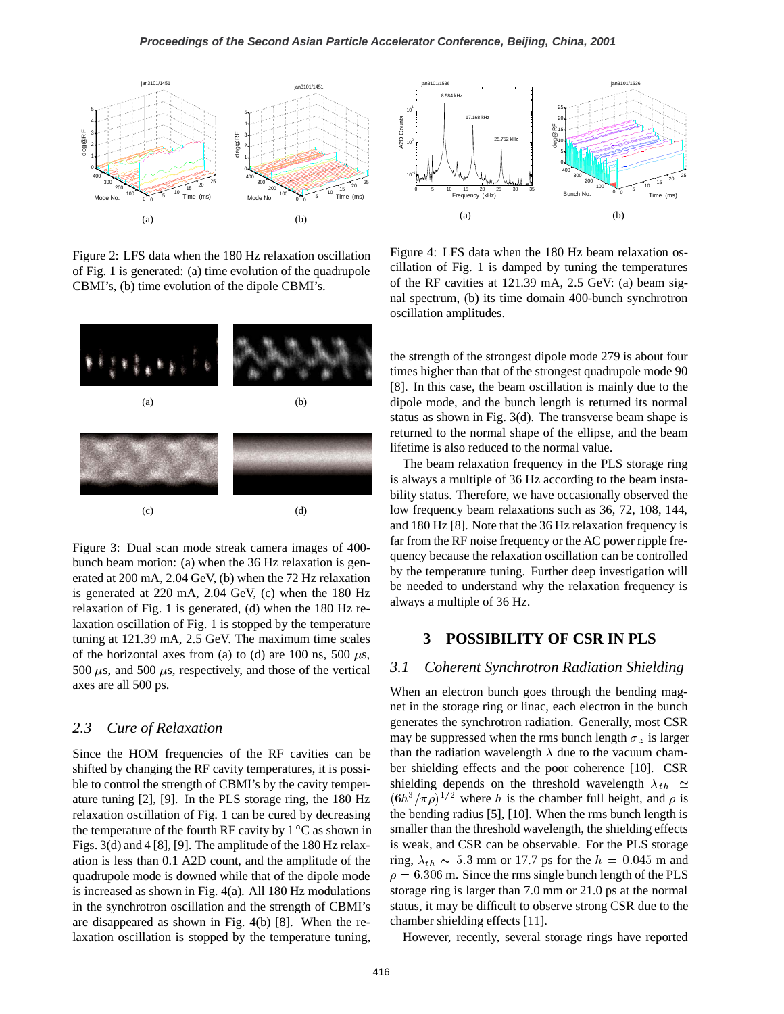

Figure 2: LFS data when the 180 Hz relaxation oscillation of Fig. 1 is generated: (a) time evolution of the quadrupole CBMI's, (b) time evolution of the dipole CBMI's.



Figure 3: Dual scan mode streak camera images of 400 bunch beam motion: (a) when the 36 Hz relaxation is generated at 200 mA, 2.04 GeV, (b) when the 72 Hz relaxation is generated at 220 mA, 2.04 GeV, (c) when the 180 Hz relaxation of Fig. 1 is generated, (d) when the 180 Hz relaxation oscillation of Fig. 1 is stopped by the temperature tuning at 121.39 mA, 2.5 GeV. The maximum time scales of the horizontal axes from (a) to (d) are 100 ns, 500  $\mu$ s, 500  $\mu$ s, and 500  $\mu$ s, respectively, and those of the vertical axes are all 500 ps.

### *2.3 Cure of Relaxation*

Since the HOM frequencies of the RF cavities can be shifted by changing the RF cavity temperatures, it is possible to control the strength of CBMI's by the cavity temperature tuning [2], [9]. In the PLS storage ring, the 180 Hz relaxation oscillation of Fig. 1 can be cured by decreasing the temperature of the fourth RF cavity by  $1^{\circ}$ C as shown in Figs. 3(d) and 4 [8], [9]. The amplitude of the 180 Hz relaxation is less than 0.1 A2D count, and the amplitude of the quadrupole mode is downed while that of the dipole mode is increased as shown in Fig. 4(a). All 180 Hz modulations in the synchrotron oscillation and the strength of CBMI's are disappeared as shown in Fig. 4(b) [8]. When the relaxation oscillation is stopped by the temperature tuning,



Figure 4: LFS data when the 180 Hz beam relaxation oscillation of Fig. 1 is damped by tuning the temperatures of the RF cavities at 121.39 mA, 2.5 GeV: (a) beam signal spectrum, (b) its time domain 400-bunch synchrotron oscillation amplitudes.

the strength of the strongest dipole mode 279 is about four times higher than that of the strongest quadrupole mode 90 [8]. In this case, the beam oscillation is mainly due to the dipole mode, and the bunch length is returned its normal status as shown in Fig. 3(d). The transverse beam shape is returned to the normal shape of the ellipse, and the beam lifetime is also reduced to the normal value.

The beam relaxation frequency in the PLS storage ring is always a multiple of 36 Hz according to the beam instability status. Therefore, we have occasionally observed the low frequency beam relaxations such as 36, 72, 108, 144, and 180 Hz [8]. Note that the 36 Hz relaxation frequency is far from the RF noise frequency or the AC power ripple frequency because the relaxation oscillation can be controlled by the temperature tuning. Further deep investigation will be needed to understand why the relaxation frequency is always a multiple of 36 Hz.

# **3 POSSIBILITY OF CSR IN PLS**

### *3.1 Coherent Synchrotron Radiation Shielding*

When an electron bunch goes through the bending magnet in the storage ring or linac, each electron in the bunch generates the synchrotron radiation. Generally, most CSR may be suppressed when the rms bunch length  $\sigma_z$  is larger than the radiation wavelength  $\lambda$  due to the vacuum chamber shielding effects and the poor coherence [10]. CSR shielding depends on the threshold wavelength  $\lambda_{th} \simeq$  $(6h^3/\pi\rho)^{1/2}$  where h is the chamber full height, and  $\rho$  is the bending radius [5], [10]. When the rms bunch length is smaller than the threshold wavelength, the shielding effects is weak, and CSR can be observable. For the PLS storage ring,  $\lambda_{th} \sim 5.3$  mm or 17.7 ps for the  $h = 0.045$  m and  $\rho = 6.306$  m. Since the rms single bunch length of the PLS storage ring is larger than 7.0 mm or 21.0 ps at the normal status, it may be difficult to observe strong CSR due to the chamber shielding effects [11].

However, recently, several storage rings have reported